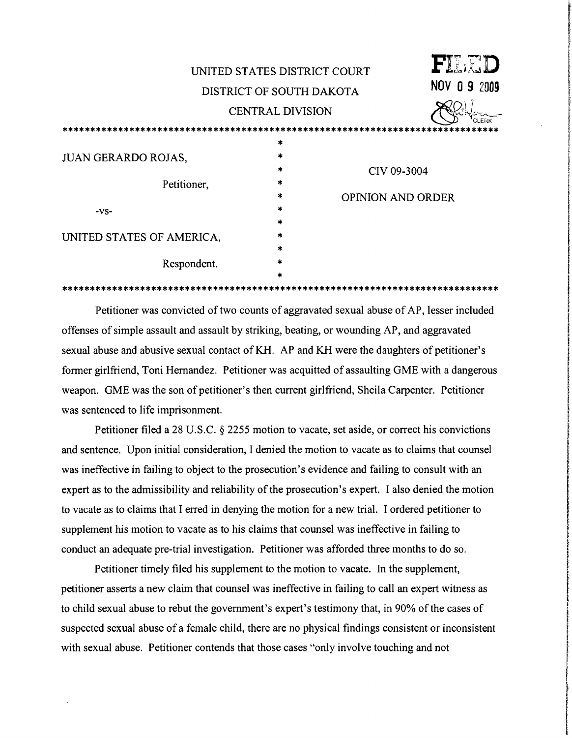| UNITED STATES DISTRICT COURT |                   |                          | FILET       |
|------------------------------|-------------------|--------------------------|-------------|
| DISTRICT OF SOUTH DAKOTA     |                   |                          | NOV 09 2009 |
| <b>CENTRAL DIVISION</b>      |                   | CLERK                    |             |
|                              |                   |                          |             |
| <b>JUAN GERARDO ROJAS,</b>   | *<br>*<br>$\ast$  | CIV 09-3004              |             |
| Petitioner,                  | $\ast$<br>$\star$ | <b>OPINION AND ORDER</b> |             |
| -VS-                         | $\star$<br>$\ast$ |                          |             |
| UNITED STATES OF AMERICA,    | $\ast$<br>$\star$ |                          |             |
| Respondent.                  | $\star$<br>$\ast$ |                          |             |

Petitioner was convicted of two counts of aggravated sexual abuse of AP, lesser included offenses of simple assault and assault by striking, beating, or wounding AP, and aggravated sexual abuse and abusive sexual contact of KH. AP and KH were the daughters of petitioner's former girlfriend, Toni Hernandez. Petitioner was acquitted of assaulting GME with a dangerous weapon. GME was the son of petitioner's then current girlfriend, Sheila Carpenter. Petitioner was sentenced to life imprisonment.

Petitioner filed a 28 U.S.C. § 2255 motion to vacate, set aside, or correct his convictions and sentence. Upon initial consideration, I denied the motion to vacate as to claims that counsel was ineffective in failing to object to the prosecution's evidence and failing to consult with an expert as to the admissibility and reliability of the prosecution's expert. I also denied the motion to vacate as to claims that I erred in denying the motion for a new trial. I ordered petitioner to supplement his motion to vacate as to his claims that counsel was ineffective in failing to conduct an adequate pre-trial investigation. Petitioner was afforded three months to do so.

Petitioner timely filed his supplement to the motion to vacate. In the supplement, petitioner asserts a new claim that counsel was ineffective in failing to call an expert witness as to child sexual abuse to rebut the government's expert's testimony that, in 90% of the cases of suspected sexual abuse of a female child, there are no physical findings consistent or inconsistent with sexual abuse. Petitioner contends that those cases "only involve touching and not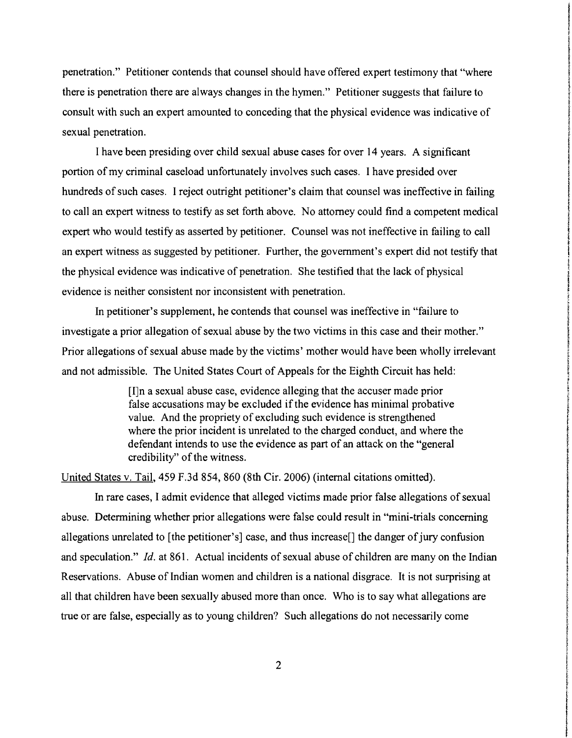penetration." Petitioner contends that counsel should have offered expert testimony that "where • there is penetration there are always changes in the hYmen." Petitioner suggests that failure to consult with such an expert amounted to conceding that the physical evidence was indicative of sexual penetration.

International content and content and con-

ing sektemptikan di kalendar kang kalendar dan belang.<br>Ing sektemptikan di kalendar di kalendar dan berjada dan berja

**International Communication** 

**Includes** 

**In the Real Children of the ALISON REAL PROPERTY** 

**International Section** 

f form of the Pres **Professor Attacks and** 

**International Contemporary of the** 

!

f

**Print** 

**IN THEFT PERSONAL** rendere ;

I have been presiding over child sexual abuse cases for over 14 years. A significant portion of my criminal caseload unfortunately involves such cases. I have presided over hundreds of such cases. I reject outright petitioner's claim that counsel was ineffective in failing to call an expert witness to testify as set forth above. No attorney could find a competent medical expert who would testify as asserted by petitioner. Counsel was not ineffective in failing to call an expert witness as suggested by petitioner. Further, the government's expert did not testify that the physical evidence was indicative of penetration. She testified that the lack of physical evidence is neither consistent nor inconsistent with penetration.

In petitioner's supplement, he contends that counsel was ineffective in "failure to investigate a prior allegation of sexual abuse by the two victims in this case and their mother." Prior allegations of sexual abuse made by the victims' mother would have been wholly irrelevant and not admissible. The United States Court of Appeals for the Eighth Circuit has held:

> [I]n a sexual abuse case, evidence alleging that the accuser made prior false accusations may be excluded if the evidence has minimal probative value. And the propriety of excluding such evidence is strengthened where the prior incident is unrelated to the charged conduct, and where the defendant intends to use the evidence as part of an attack on the "general credibility" of the witness.

United States v. Tail, 459 F.3d 854, 860 (8th Cir. 2006) (internal citations omitted).

In rare cases, I admit evidence that alleged victims made prior false allegations of sexual abuse. Determining whether prior allegations were false could result in "mini-trials concerning allegations unrelated to [the petitioner's] case, and thus increase<sup>[]</sup> the danger of jury confusion and speculation." *Id.* at 861. Actual incidents of sexual abuse of children are many on the Indian Reservations. Abuse of Indian women and children is a national disgrace. It is not surprising at all that children have been sexually abused more than once. Who is to say what allegations are true or are false, especially as to young children? Such allegations do not necessarily come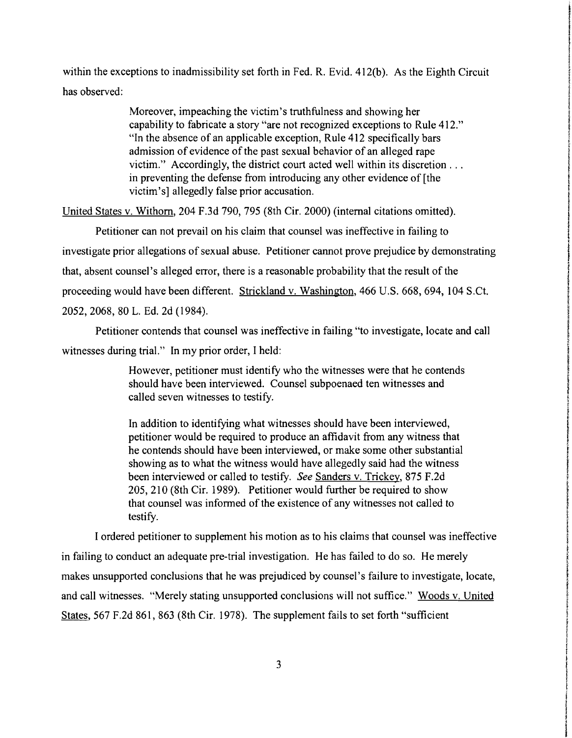within the exceptions to inadmissibility set forth in Fed. R. Evid. 412(b). As the Eighth Circuit has observed:

> Moreover, impeaching the victim's truthfulness and showing her capability to fabricate a story "are not recognized exceptions to Rule 412." ~. "In the absence of an applicable exception, Rule 412 specifically bars ~ admission of evidence of the past sexual behavior of an alleged rape victim." Accordingly, the district court acted well within its discretion ... in preventing the defense from introducing any other evidence of [the victim's] allegedly false prior accusation.

the company of **Includes the American** 

**International Constitution of the American Service** 

**International Constitutions of Language International** 

Particularly Co **Heater** 

I.<br>In district and international function in coloration

**In this case of the contract of the contract of the contract of the contract of the contract of the contract of the contract of the contract of the contract of the contract of the contract of the contract of the contract** 

**INVESTIGATION** j

,,,,,,,,,,, **Incorporation** 

la de la completa de la completa de la completa de la completa de la completa de la completa de la completa de<br>La completa de la completa de la completa de la completa de la completa de la completa de la completa de la co f

**International Section** 

i f transferred and

transferred<br>The State

International Control<br>International Control

r i

t, f f

the state and also **International Control**<br>International Control

**III** and a manufacture of the contract of the contract of the contract of the contract of the contract of the contract of the contract of the contract of the contract of the contract of the contract of the contract of the

I **International** 

respons i !

**International** 

United States v. Withom, 204 F.3d 790, 795 (8th Cir. 2000) (internal citations omitted).

Petitioner can not prevail on his claim that counsel was ineffective in failing to investigate prior allegations of sexual abuse. Petitioner cannot prove prejudice by demonstrating that, absent counsel's alleged error, there is a reasonable probability that the result of the proceeding would have been different. Strickland v. Washington, 466 U.S. 668, 694, 104 S.Ct. 2052, 2068, 80 L. Ed. 2d (1984).

Petitioner contends that counsel was ineffective in failing "to investigate, locate and call witnesses during trial." In my prior order, I held:

> However, petitioner must identify who the witnesses were that he contends should have been interviewed. Counsel subpoenaed ten witnesses and called seven witnesses to testify.

> In addition to identifying what witnesses should have been interviewed, petitioner would be required to produce an affidavit from any witness that he contends should have been interviewed, or make some other substantial showing as to what the witness would have allegedly said had the witness been interviewed or called to testify. *See* Sanders v. Trickey, 875 F.2d 205, 210 (8th Cir. 1989). Petitioner would further be required to show that counsel was infonned of the existence of any witnesses not called to testify.

I ordered petitioner to supplement his motion as to his claims that counsel was ineffective in failing to conduct an adequate pre-trial investigation. He has failed to do so. He merely *<sup>t</sup>* makes unsupported conclusions that he was prejudiced by counsel's failure to investigate, locate, and call witnesses. "Merely stating unsupported conclusions will not suffice." Woods v. United States, 567 F.2d 861, 863 (8th Cir. 1978). The supplement fails to set forth "sufficient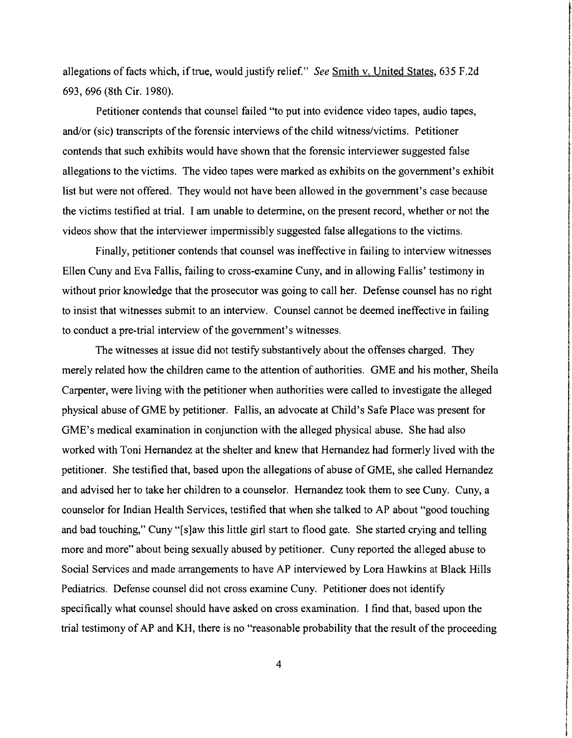allegations of facts which, if true, would justify relief." *See* Smith v. United States, 635 F.2d 693, 696 (8th Cir. 1980).

Petitioner contends that counsel failed "to put into evidence video tapes, audio tapes, and/or (sic) transcripts of the forensic interviews of the child witness/victims. Petitioner contends that such exhibits would have shown that the forensic interviewer suggested false allegations to the victims. The video tapes were marked as exhibits on the government's exhibit list but were not offered. They would not have been allowed in the government's case because the victims testified at trial. I am unable to detennine, on the present record, whether or not the videos show that the interviewer impennissibly suggested false allegations to the victims.

Finally, petitioner contends that counsel was ineffective in failing to interview witnesses Ellen Cuny and Eva Fallis, failing to cross-examine Cuny, and in allowing Fallis' testimony in without prior knowledge that the prosecutor was going to call her. Defense counsel has no right to insist that witnesses submit to an interview. Counsel cannot be deemed ineffective in failing to conduct a pre-trial interview of the government's witnesses.

The witnesses at issue did not testify substantively about the offenses charged. They merely related how the children came to the attention of authorities. GME and his mother, Sheila Carpenter, were living with the petitioner when authorities were called to investigate the alleged physical abuse of GME by petitioner. Fallis, an advocate at Child's Safe Place was present for GME's medical examination in conjunction with the alleged physical abuse. She had also worked with Toni Hernandez at the shelter and knew that Hernandez had fonnerly lived with the petitioner. She testified that, based upon the allegations of abuse of GME, she called Hernandez and advised her to take her children to a counselor. Hernandez took them to see Cuny. Cuny, a counselor for Indian Health Services, testified that when she talked to AP about "good touching and bad touching," Cuny "[s]aw this little girl start to flood gate. She started crying and telling more and more" about being sexually abused by petitioner. Cuny reported the alleged abuse to Social Services and made arrangements to have AP interviewed by Lora Hawkins at Black Hills Pediatrics. Defense counsel did not cross examine Cuny. Petitioner does not identify specifically what counsel should have asked on cross examination. I find that, based upon the trial testimony of AP and KH, there is no "reasonable probability that the result of the proceeding

4

In the company of the company of the company of the company of the company of the company of the company of the company of the company of the company of the company of the company of the company of the company of the compa

f

rational pro

In the photography and construction and component and

**International Controls and Control** 

in and whether the component r were g

t<br>The Second Corporation<br>The Second Corporation

the community of the content

removers

in the company of the company of the company of the company of the company of the company of the company of the **Indian Agent** 

the communication

**International Constitution Communication** 

**International Control** 

**International Controller Internet Advertision** 

**International Science of Montgomery and Science** 

**International** I

**International Accountability of the Account** 

**International Profit** 

**International Control** 

**In Company of Service ISLAND CONTRACT Indian Burgunda International Control**